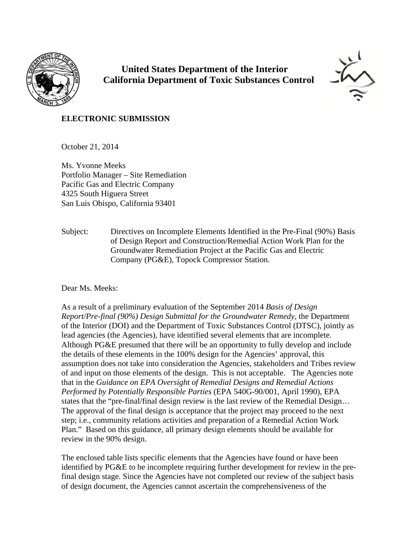

 **United States Department of the Interior California Department of Toxic Substances Control**



#### **ELECTRONIC SUBMISSION**

October 21, 2014

Ms. Yvonne Meeks Portfolio Manager – Site Remediation Pacific Gas and Electric Company 4325 South Higuera Street San Luis Obispo, California 93401

Subject: Directives on Incomplete Elements Identified in the Pre-Final (90%) Basis of Design Report and Construction/Remedial Action Work Plan for the Groundwater Remediation Project at the Pacific Gas and Electric Company (PG&E), Topock Compressor Station.

#### Dear Ms. Meeks:

As a result of a preliminary evaluation of the September 2014 *Basis of Design Report/Pre-final (90%) Design Submittal for the Groundwater Remedy,* the Department of the Interior (DOI) and the Department of Toxic Substances Control (DTSC), jointly as lead agencies (the Agencies), have identified several elements that are incomplete. Although PG&E presumed that there will be an opportunity to fully develop and include the details of these elements in the 100% design for the Agencies' approval, this assumption does not take into consideration the Agencies, stakeholders and Tribes review of and input on those elements of the design. This is not acceptable. The Agencies note that in the *Guidance on EPA Oversight of Remedial Designs and Remedial Actions Performed by Potentially Responsible Parties* (EPA 540G-90/001, April 1990), EPA states that the "pre-final/final design review is the last review of the Remedial Design… The approval of the final design is acceptance that the project may proceed to the next step; i.e., community relations activities and preparation of a Remedial Action Work Plan." Based on this guidance, all primary design elements should be available for review in the 90% design.

The enclosed table lists specific elements that the Agencies have found or have been identified by PG&E to be incomplete requiring further development for review in the prefinal design stage. Since the Agencies have not completed our review of the subject basis of design document, the Agencies cannot ascertain the comprehensiveness of the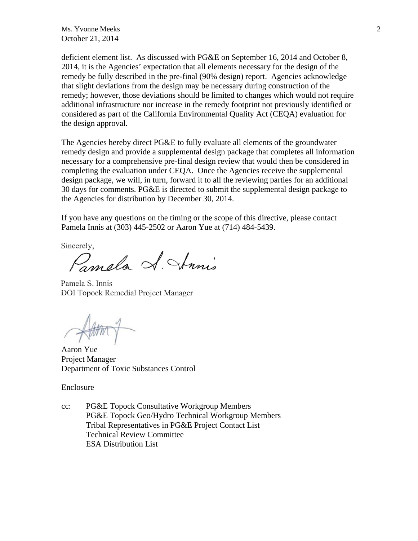$\mathsf{Ms}$ . Yvonne Meeks 2 October 21, 2014

deficient element list. As discussed with PG&E on September 16, 2014 and October 8, 2014, it is the Agencies' expectation that all elements necessary for the design of the remedy be fully described in the pre-final (90% design) report. Agencies acknowledge that slight deviations from the design may be necessary during construction of the remedy; however, those deviations should be limited to changes which would not require additional infrastructure nor increase in the remedy footprint not previously identified or considered as part of the California Environmental Quality Act (CEQA) evaluation for the design approval.

The Agencies hereby direct PG&E to fully evaluate all elements of the groundwater remedy design and provide a supplemental design package that completes all information necessary for a comprehensive pre-final design review that would then be considered in completing the evaluation under CEQA. Once the Agencies receive the supplemental design package, we will, in turn, forward it to all the reviewing parties for an additional 30 days for comments. PG&E is directed to submit the supplemental design package to the Agencies for distribution by December 30, 2014.

If you have any questions on the timing or the scope of this directive, please contact Pamela Innis at (303) 445-2502 or Aaron Yue at (714) 484-5439.

Sincerely,

Pamela S. Annis

Pamela S. Innis **DOI Topock Remedial Project Manager** 

Aaron Yue Project Manager Department of Toxic Substances Control

Enclosure

cc: PG&E Topock Consultative Workgroup Members PG&E Topock Geo/Hydro Technical Workgroup Members Tribal Representatives in PG&E Project Contact List Technical Review Committee ESA Distribution List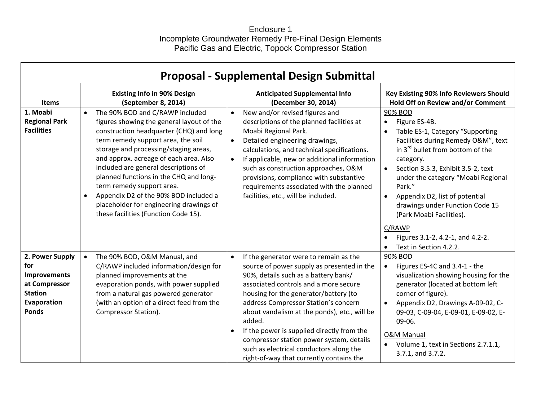### Enclosure 1 Incomplete Groundwater Remedy Pre-Final Design Elements Pacific Gas and Electric, Topock Compressor Station

| <b>Proposal - Supplemental Design Submittal</b>                                                                 |                                                                                                                                                                                                                                                                                                                                                                                                                                                                                                                       |                                                                                                                                                                                                                                                                                                                                                                                                                                                                                                                |                                                                                                                                                                                                                                                                                                                                                                                                                                 |  |  |  |  |  |
|-----------------------------------------------------------------------------------------------------------------|-----------------------------------------------------------------------------------------------------------------------------------------------------------------------------------------------------------------------------------------------------------------------------------------------------------------------------------------------------------------------------------------------------------------------------------------------------------------------------------------------------------------------|----------------------------------------------------------------------------------------------------------------------------------------------------------------------------------------------------------------------------------------------------------------------------------------------------------------------------------------------------------------------------------------------------------------------------------------------------------------------------------------------------------------|---------------------------------------------------------------------------------------------------------------------------------------------------------------------------------------------------------------------------------------------------------------------------------------------------------------------------------------------------------------------------------------------------------------------------------|--|--|--|--|--|
| <b>Items</b>                                                                                                    | <b>Existing Info in 90% Design</b><br>(September 8, 2014)                                                                                                                                                                                                                                                                                                                                                                                                                                                             | <b>Anticipated Supplemental Info</b><br>(December 30, 2014)                                                                                                                                                                                                                                                                                                                                                                                                                                                    | Key Existing 90% Info Reviewers Should<br>Hold Off on Review and/or Comment                                                                                                                                                                                                                                                                                                                                                     |  |  |  |  |  |
| 1. Moabi<br><b>Regional Park</b><br><b>Facilities</b>                                                           | The 90% BOD and C/RAWP included<br>$\bullet$<br>figures showing the general layout of the<br>construction headquarter (CHQ) and long<br>term remedy support area, the soil<br>storage and processing/staging areas,<br>and approx. acreage of each area. Also<br>included are general descriptions of<br>planned functions in the CHQ and long-<br>term remedy support area.<br>Appendix D2 of the 90% BOD included a<br>$\bullet$<br>placeholder for engineering drawings of<br>these facilities (Function Code 15). | New and/or revised figures and<br>$\bullet$<br>descriptions of the planned facilities at<br>Moabi Regional Park.<br>Detailed engineering drawings,<br>$\bullet$<br>calculations, and technical specifications.<br>If applicable, new or additional information<br>$\bullet$<br>such as construction approaches, O&M<br>provisions, compliance with substantive<br>requirements associated with the planned<br>facilities, etc., will be included.                                                              | 90% BOD<br>Figure ES-4B.<br>Table ES-1, Category "Supporting<br>Facilities during Remedy O&M", text<br>in 3 <sup>rd</sup> bullet from bottom of the<br>category.<br>Section 3.5.3, Exhibit 3.5-2, text<br>under the category "Moabi Regional<br>Park."<br>Appendix D2, list of potential<br>drawings under Function Code 15<br>(Park Moabi Facilities).<br>C/RAWP<br>Figures 3.1-2, 4.2-1, and 4.2-2.<br>Text in Section 4.2.2. |  |  |  |  |  |
| 2. Power Supply<br>for<br><b>Improvements</b><br>at Compressor<br><b>Station</b><br>Evaporation<br><b>Ponds</b> | The 90% BOD, O&M Manual, and<br>$\bullet$<br>C/RAWP included information/design for<br>planned improvements at the<br>evaporation ponds, with power supplied<br>from a natural gas powered generator<br>(with an option of a direct feed from the<br>Compressor Station).                                                                                                                                                                                                                                             | If the generator were to remain as the<br>$\bullet$<br>source of power supply as presented in the<br>90%, details such as a battery bank/<br>associated controls and a more secure<br>housing for the generator/battery (to<br>address Compressor Station's concern<br>about vandalism at the ponds), etc., will be<br>added.<br>If the power is supplied directly from the<br>compressor station power system, details<br>such as electrical conductors along the<br>right-of-way that currently contains the | 90% BOD<br>Figures ES-4C and 3.4-1 - the<br>$\bullet$<br>visualization showing housing for the<br>generator (located at bottom left<br>corner of figure).<br>Appendix D2, Drawings A-09-02, C-<br>09-03, C-09-04, E-09-01, E-09-02, E-<br>09-06.<br><b>O&amp;M Manual</b><br>Volume 1, text in Sections 2.7.1.1,<br>$\bullet$<br>3.7.1, and 3.7.2.                                                                              |  |  |  |  |  |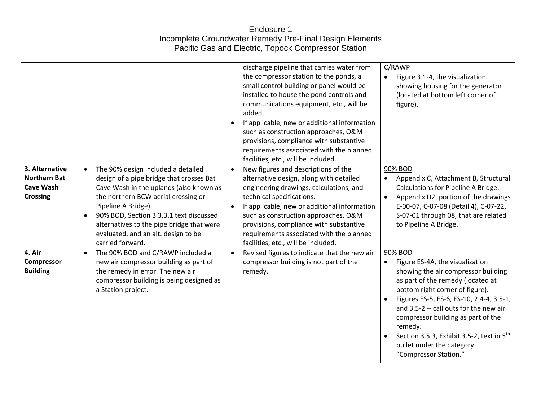# Enclosure 1 Incomplete Groundwater Remedy Pre-Final Design Elements Pacific Gas and Electric, Topock Compressor Station

|                                                                              |                                                                                                                                                                                                                                                                                                                                                         |           | discharge pipeline that carries water from<br>the compressor station to the ponds, a<br>small control building or panel would be<br>installed to house the pond controls and<br>communications equipment, etc., will be<br>added.<br>If applicable, new or additional information<br>such as construction approaches, O&M<br>provisions, compliance with substantive<br>requirements associated with the planned<br>facilities, etc., will be included. | C/RAWP<br>Figure 3.1-4, the visualization<br>showing housing for the generator<br>(located at bottom left corner of<br>figure).                                                                                                                                                                                                                                                                                 |
|------------------------------------------------------------------------------|---------------------------------------------------------------------------------------------------------------------------------------------------------------------------------------------------------------------------------------------------------------------------------------------------------------------------------------------------------|-----------|---------------------------------------------------------------------------------------------------------------------------------------------------------------------------------------------------------------------------------------------------------------------------------------------------------------------------------------------------------------------------------------------------------------------------------------------------------|-----------------------------------------------------------------------------------------------------------------------------------------------------------------------------------------------------------------------------------------------------------------------------------------------------------------------------------------------------------------------------------------------------------------|
| 3. Alternative<br><b>Northern Bat</b><br><b>Cave Wash</b><br><b>Crossing</b> | The 90% design included a detailed<br>design of a pipe bridge that crosses Bat<br>Cave Wash in the uplands (also known as<br>the northern BCW aerial crossing or<br>Pipeline A Bridge).<br>90% BOD, Section 3.3.3.1 text discussed<br>$\bullet$<br>alternatives to the pipe bridge that were<br>evaluated, and an alt. design to be<br>carried forward. | $\bullet$ | New figures and descriptions of the<br>alternative design, along with detailed<br>engineering drawings, calculations, and<br>technical specifications.<br>If applicable, new or additional information<br>such as construction approaches, O&M<br>provisions, compliance with substantive<br>requirements associated with the planned<br>facilities, etc., will be included.                                                                            | 90% BOD<br>Appendix C, Attachment B, Structural<br>Calculations for Pipeline A Bridge.<br>Appendix D2, portion of the drawings<br>E-00-07, C-07-08 (Detail 4), C-07-22,<br>S-07-01 through 08, that are related<br>to Pipeline A Bridge.                                                                                                                                                                        |
| 4. Air<br>Compressor<br><b>Building</b>                                      | The 90% BOD and C/RAWP included a<br>$\bullet$<br>new air compressor building as part of<br>the remedy in error. The new air<br>compressor building is being designed as<br>a Station project.                                                                                                                                                          | $\bullet$ | Revised figures to indicate that the new air<br>compressor building is not part of the<br>remedy.                                                                                                                                                                                                                                                                                                                                                       | 90% BOD<br>Figure ES-4A, the visualization<br>showing the air compressor building<br>as part of the remedy (located at<br>bottom right corner of figure).<br>Figures ES-5, ES-6, ES-10, 2.4-4, 3.5-1,<br>and 3.5-2 -- call outs for the new air<br>compressor building as part of the<br>remedy.<br>Section 3.5.3, Exhibit 3.5-2, text in 5 <sup>th</sup><br>bullet under the category<br>"Compressor Station." |